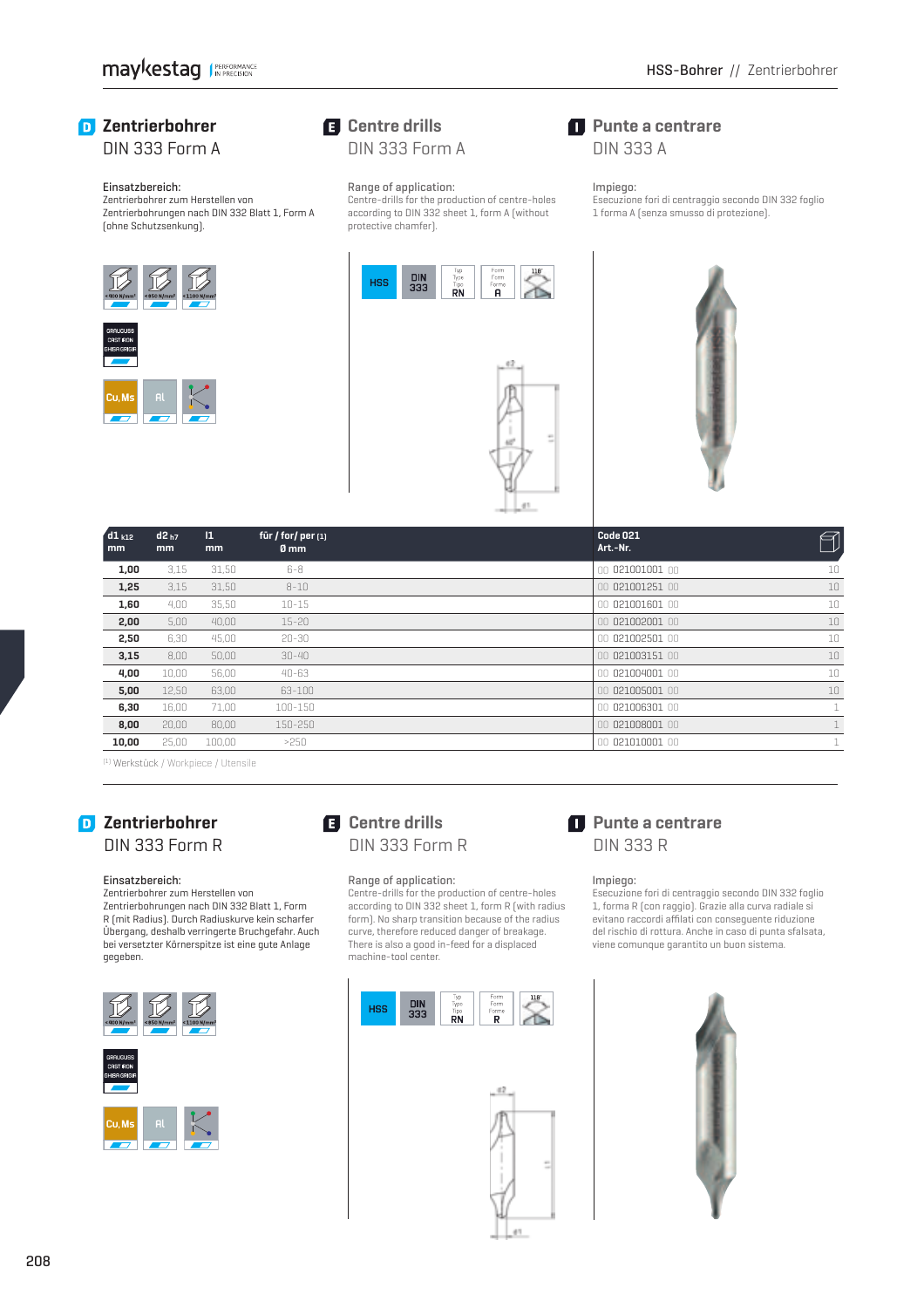**Punte a centrare** DIN 333 A

Impiego:

## *D* Zentrierbohrer DIN 333 Form A

### Einsatzbereich:

 Zentrierbohrer zum Herstellen von Zentrierbohrungen nach DIN 332 Blatt 1, Form A (ohne Schutzsenkung).



## **Centre drills** DIN 333 Form A

### Range of application:

 Centre-drills for the production of centre-holes according to DIN 332 sheet 1, form A (without protective chamfer).





 Esecuzione fori di centraggio secondo DIN 332 foglio 1 forma A (senza smusso di protezione).

| $d1_{k12}$<br>mm | $d2_{h7}$<br>mm | $\mathbf{1}$<br>mm | für / for/ per $[1]$<br>0 mm | Code 021<br>Art.-Nr. | ø            |
|------------------|-----------------|--------------------|------------------------------|----------------------|--------------|
| 1,00             | 3,15            | 31,50              | 6-8                          | 00 021001001 00      | 10           |
| 1,25             | 3,15            | 31,50              | $8 - 10$                     | 00 021001251 00      | 10           |
| 1,60             | 4,00            | 35,50              | $10 - 15$                    | 00 021001601 00      | 10           |
| 2,00             | 5,00            | 40,00              | $15 - 20$                    | 00 021002001 00      | 10           |
| 2,50             | 6,30            | 45,00              | $20 - 30$                    | 00 021002501 00      | 10           |
| 3,15             | 8,00            | 50,00              | $30 - 40$                    | 00 021003151 00      | 10           |
| 4,00             | 10.00           | 56,00              | $40 - 63$                    | 00 021004001 00      | 10           |
| 5,00             | 12,50           | 63,00              | 63-100                       | 00 021005001 00      | 10           |
| 6,30             | 16.00           | 71,00              | 100-150                      | 00 021006301 00      | $\mathbf{1}$ |
| 8,00             | 20,00           | 80,00              | 150-250                      | 00 021008001 00      |              |
| 10,00            | 25,00           | 100,00             | >250                         | 021010001 00<br>OO.  | $\mathbf{1}$ |

(1) Werkstück / Workpiece / Utensile

# **Zentrierbohrer** DIN 333 Form R

### Einsatzbereich:

 Zentrierbohrer zum Herstellen von Zentrierbohrungen nach DIN 332 Blatt 1, Form R (mit Radius). Durch Radiuskurve kein scharfer Übergang, deshalb verringerte Bruchgefahr. Auch bei versetzter Körnerspitze ist eine gute Anlage gegeben.



# **Centre drills** DIN 333 Form R

### Range of application:

 Centre-drills for the production of centre-holes according to DIN 332 sheet 1, form R (with radius form). No sharp transition because of the radius curve, therefore reduced danger of breakage. There is also a good in-feed for a displaced machine-tool center.





# **Punte a centrare** DIN 333 R

### Impiego:

Esecuzione fori di centraggio secondo DIN 332 foglio 1, forma R (con raggio). Grazie alla curva radiale si evitano raccordi affilati con conseguente riduzione del rischio di rottura. Anche in caso di punta sfalsata, viene comunque garantito un buon sistema.

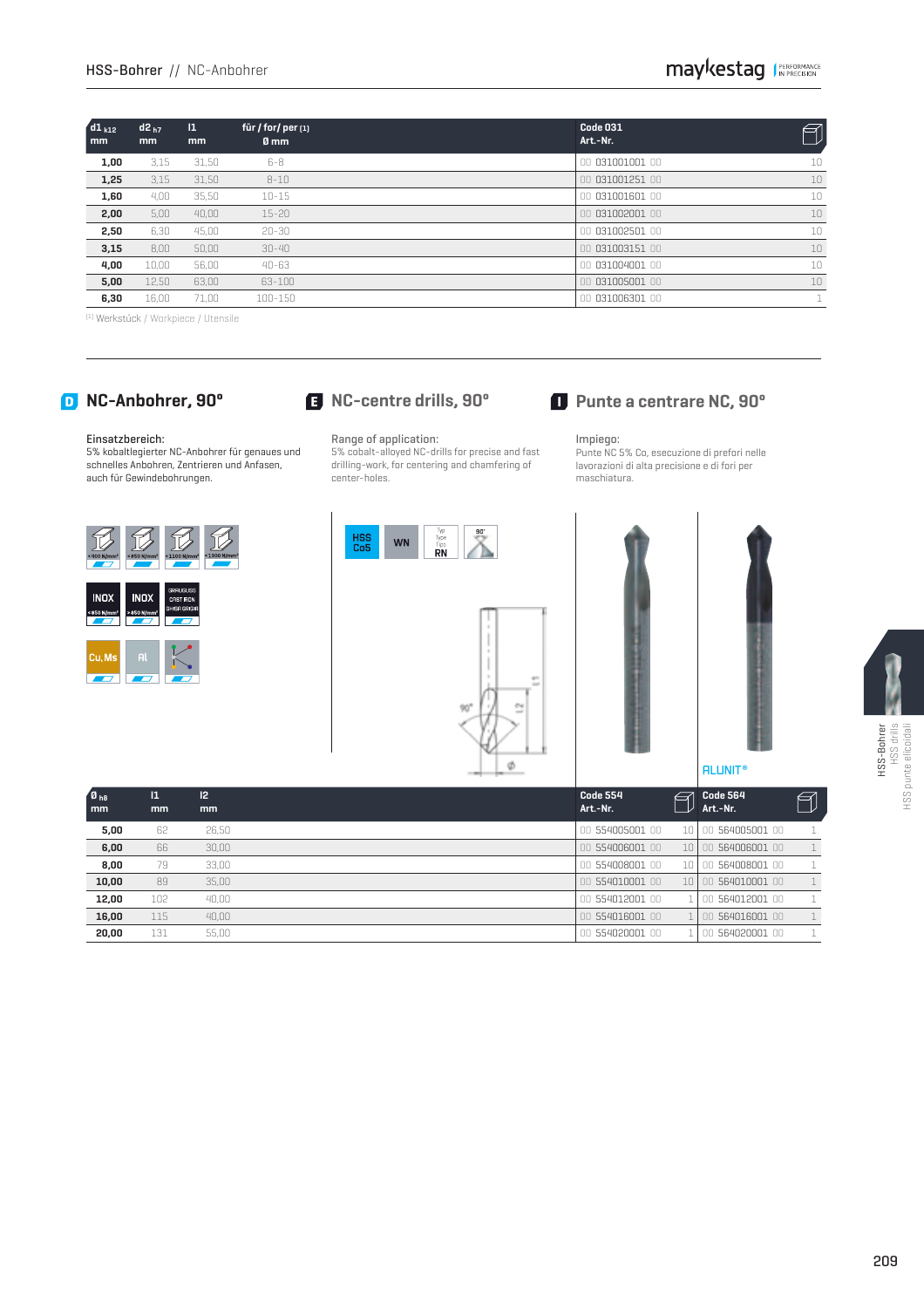| $d1_{k12}$<br>mm | $d2_{h7}$<br>mm | $\mathbf{1}$<br>mm | für / for/ per $[1]$<br>0 mm | Code 031<br>Art.-Nr. | 키  |
|------------------|-----------------|--------------------|------------------------------|----------------------|----|
| 1,00             | 3,15            | 31,50              | $6-8$                        | 00 031001001 00      | 10 |
| 1,25             | 3,15            | 31,50              | $8 - 10$                     | 00 031001251 00      | 10 |
| 1,60             | 4,00            | 35,50              | $10 - 15$                    | 00 031001601 00      | 10 |
| 2,00             | 5,00            | 40.00              | $15 - 20$                    | 00 031002001 00      | 10 |
| 2,50             | 6,30            | 45.00              | $20 - 30$                    | 00 031002501 00      | 10 |
| 3,15             | 8,00            | 50.00              | $30 - 40$                    | 00 031003151 00      | 10 |
| 4,00             | 10.00           | 56,00              | $40 - 63$                    | 00 031004001 00      | 10 |
| 5,00             | 12,50           | 63,00              | 63-100                       | 00 031005001 00      | 10 |
| 6,30             | 16,00           | 71,00              | 100-150                      | 00 031006301 00      |    |

(1) Werkstück / Workpiece / Utensile

### Einsatzbereich:

 5% kobaltlegierter NC-Anbohrer für genaues und schnelles Anbohren, Zentrieren und Anfasen, auch für Gewindebohrungen.



WN

### Range of application:

HSS<br>Co5

 5% cobalt-alloyed NC-drills for precise and fast drilling-work, for centering and chamfering of center-holes.

### Impiego:

 Punte NC 5% Co, esecuzione di prefori nelle lavorazioni di alta precisione e di fori per maschiatura.







| <b>ISS-Bohrer</b> | .,<br>HSS dri | Ξ<br>Š<br>S |
|-------------------|---------------|-------------|

| $\blacksquare$<br>mm | $\mathbf{I}$<br>mm | 12<br>mm | <b>Code 554</b><br>Art.-Nr. | $\epsilon$ | Code 564<br>Art.-Nr. | ✍ |
|----------------------|--------------------|----------|-----------------------------|------------|----------------------|---|
| 5,00                 | 62                 | 26.50    | 00 554005001 00             | 10 I       | 00 564005001 00      |   |
| 6,00                 | 66                 | 30,00    | 00 554006001 00             | 10 I       | 00 564006001 00      |   |
| 8,00                 | 79                 | 33.00    | 00 554008001 00             | 10.        | 00 564008001 00      |   |
| 10,00                | 89                 | 35.00    | 00 554010001 00             | 101        | 00 564010001 00      |   |
| 12,00                | 102                | 40,00    | 00 554012001 00             |            | 00 564012001 00      |   |
| 16,00                | 115                | 40.00    | 00 554016001 00             |            | 00 564016001 00      |   |
| 20.00                | 131                | 55.00    | 00 554020001 00             |            | 00 564020001 00      |   |